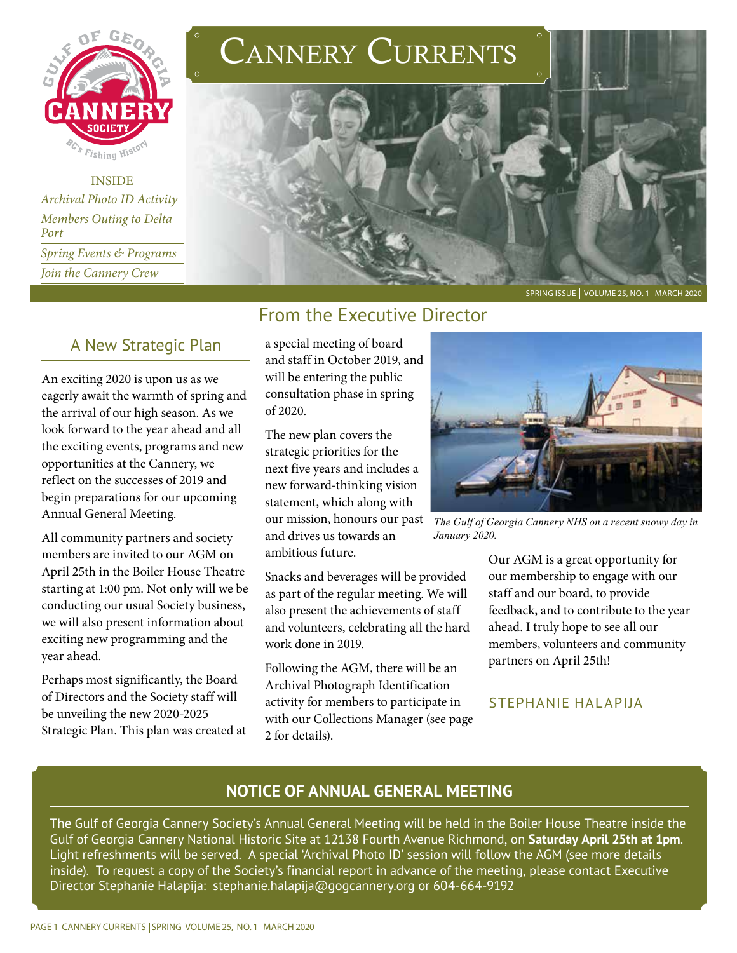

INSIDE *Archival Photo ID Activity Members Outing to Delta Port Spring Events & Programs Join the Cannery Crew*

# CANNERY CURRENTS



SPRING ISSUE | VOLUME 25, NO. 1 MARCH 2020

#### From the Executive Director

#### A New Strategic Plan

An exciting 2020 is upon us as we eagerly await the warmth of spring and the arrival of our high season. As we look forward to the year ahead and all the exciting events, programs and new opportunities at the Cannery, we reflect on the successes of 2019 and begin preparations for our upcoming Annual General Meeting.

All community partners and society members are invited to our AGM on April 25th in the Boiler House Theatre starting at 1:00 pm. Not only will we be conducting our usual Society business, we will also present information about exciting new programming and the year ahead.

Perhaps most significantly, the Board of Directors and the Society staff will be unveiling the new 2020-2025 Strategic Plan. This plan was created at a special meeting of board and staff in October 2019, and will be entering the public consultation phase in spring of 2020.

The new plan covers the strategic priorities for the next five years and includes a new forward-thinking vision statement, which along with our mission, honours our past and drives us towards an ambitious future.

Snacks and beverages will be provided as part of the regular meeting. We will also present the achievements of staff and volunteers, celebrating all the hard work done in 2019.

Following the AGM, there will be an Archival Photograph Identification activity for members to participate in with our Collections Manager (see page 2 for details).



*The Gulf of Georgia Cannery NHS on a recent snowy day in January 2020.*

Our AGM is a great opportunity for our membership to engage with our staff and our board, to provide feedback, and to contribute to the year ahead. I truly hope to see all our members, volunteers and community partners on April 25th!

#### STEPHANIE HALAPIJA

#### **NOTICE OF ANNUAL GENERAL MEETING**

The Gulf of Georgia Cannery Society's Annual General Meeting will be held in the Boiler House Theatre inside the Gulf of Georgia Cannery National Historic Site at 12138 Fourth Avenue Richmond, on **Saturday April 25th at 1pm**. Light refreshments will be served. A special 'Archival Photo ID' session will follow the AGM (see more details inside). To request a copy of the Society's financial report in advance of the meeting, please contact Executive Director Stephanie Halapija: stephanie.halapija@gogcannery.org or 604-664-9192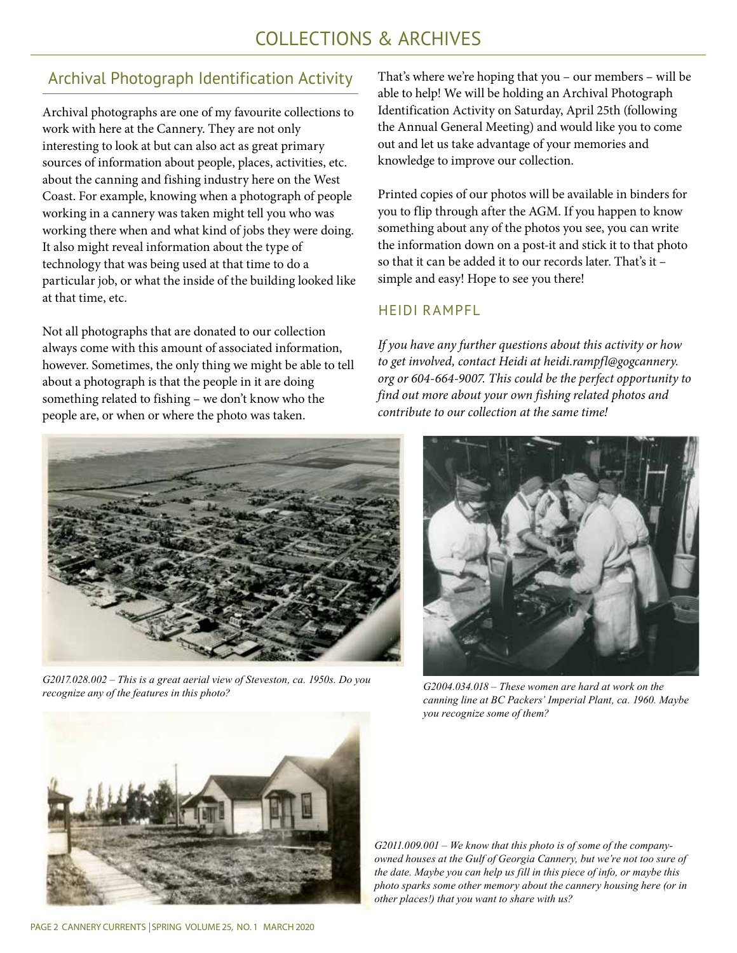## COLLECTIONS & ARCHIVES

#### Archival Photograph Identification Activity

Archival photographs are one of my favourite collections to work with here at the Cannery. They are not only interesting to look at but can also act as great primary sources of information about people, places, activities, etc. about the canning and fishing industry here on the West Coast. For example, knowing when a photograph of people working in a cannery was taken might tell you who was working there when and what kind of jobs they were doing. It also might reveal information about the type of technology that was being used at that time to do a particular job, or what the inside of the building looked like at that time, etc.

Not all photographs that are donated to our collection always come with this amount of associated information, however. Sometimes, the only thing we might be able to tell about a photograph is that the people in it are doing something related to fishing – we don't know who the people are, or when or where the photo was taken.



*G2017.028.002 – This is a great aerial view of Steveston, ca. 1950s. Do you recognize any of the features in this photo?*

That's where we're hoping that you – our members – will be able to help! We will be holding an Archival Photograph Identification Activity on Saturday, April 25th (following the Annual General Meeting) and would like you to come out and let us take advantage of your memories and knowledge to improve our collection.

Printed copies of our photos will be available in binders for you to flip through after the AGM. If you happen to know something about any of the photos you see, you can write the information down on a post-it and stick it to that photo so that it can be added it to our records later. That's it – simple and easy! Hope to see you there!

#### HEIDI RAMPFL

*If you have any further questions about this activity or how to get involved, contact Heidi at heidi.rampfl@gogcannery. org or 604-664-9007. This could be the perfect opportunity to find out more about your own fishing related photos and contribute to our collection at the same time!*



*G2004.034.018 – These women are hard at work on the canning line at BC Packers' Imperial Plant, ca. 1960. Maybe you recognize some of them?* 



*G2011.009.001 – We know that this photo is of some of the companyowned houses at the Gulf of Georgia Cannery, but we're not too sure of the date. Maybe you can help us fill in this piece of info, or maybe this photo sparks some other memory about the cannery housing here (or in other places!) that you want to share with us?*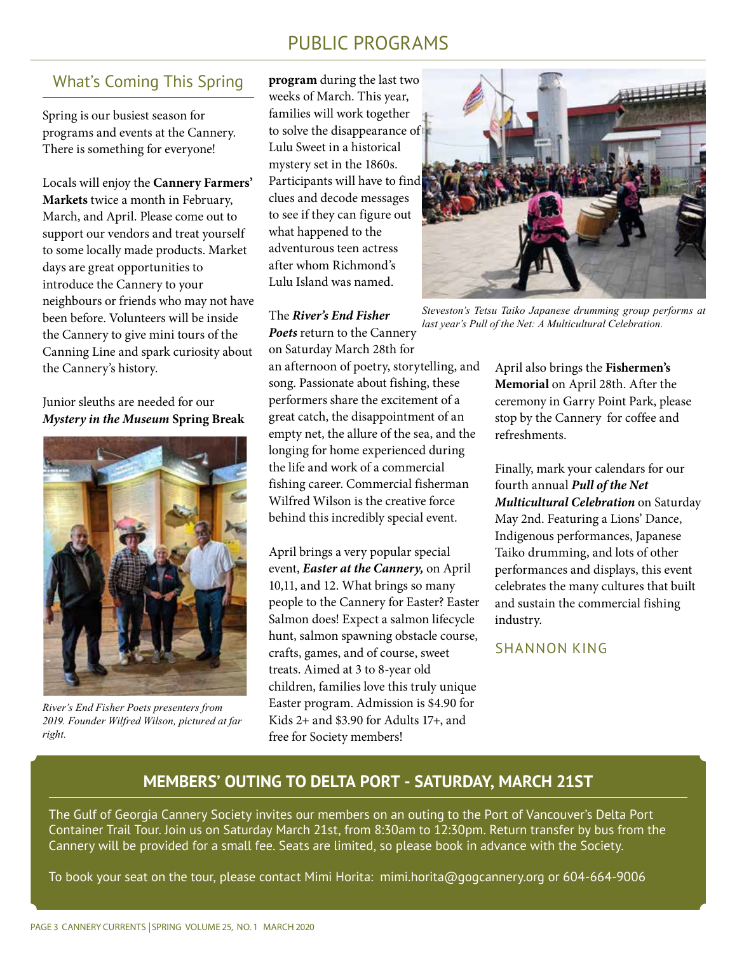### PUBLIC PROGRAMS

#### What's Coming This Spring

Spring is our busiest season for programs and events at the Cannery. There is something for everyone!

Locals will enjoy the **Cannery Farmers' Markets** twice a month in February, March, and April. Please come out to support our vendors and treat yourself to some locally made products. Market days are great opportunities to introduce the Cannery to your neighbours or friends who may not have been before. Volunteers will be inside the Cannery to give mini tours of the Canning Line and spark curiosity about the Cannery's history.

Junior sleuths are needed for our *Mystery in the Museum* **Spring Break** 



*River's End Fisher Poets presenters from 2019. Founder Wilfred Wilson, pictured at far right.*

**program** during the last two weeks of March. This year, families will work together to solve the disappearance of Lulu Sweet in a historical mystery set in the 1860s. Participants will have to find clues and decode messages to see if they can figure out what happened to the adventurous teen actress after whom Richmond's Lulu Island was named.

#### The *River's End Fisher*

*Poets* return to the Cannery on Saturday March 28th for

an afternoon of poetry, storytelling, and song. Passionate about fishing, these performers share the excitement of a great catch, the disappointment of an empty net, the allure of the sea, and the longing for home experienced during the life and work of a commercial fishing career. Commercial fisherman Wilfred Wilson is the creative force behind this incredibly special event.

April brings a very popular special event, *Easter at the Cannery,* on April 10,11, and 12. What brings so many people to the Cannery for Easter? Easter Salmon does! Expect a salmon lifecycle hunt, salmon spawning obstacle course, crafts, games, and of course, sweet treats. Aimed at 3 to 8-year old children, families love this truly unique Easter program. Admission is \$4.90 for Kids 2+ and \$3.90 for Adults 17+, and free for Society members!



*Steveston's Tetsu Taiko Japanese drumming group performs at last year's Pull of the Net: A Multicultural Celebration.* 

April also brings the **Fishermen's Memorial** on April 28th. After the ceremony in Garry Point Park, please stop by the Cannery for coffee and refreshments.

Finally, mark your calendars for our fourth annual *Pull of the Net Multicultural Celebration* on Saturday May 2nd. Featuring a Lions' Dance, Indigenous performances, Japanese Taiko drumming, and lots of other performances and displays, this event celebrates the many cultures that built and sustain the commercial fishing industry.

SHANNON KING

#### **MEMBERS' OUTING TO DELTA PORT - SATURDAY, MARCH 21ST**

The Gulf of Georgia Cannery Society invites our members on an outing to the Port of Vancouver's Delta Port Container Trail Tour. Join us on Saturday March 21st, from 8:30am to 12:30pm. Return transfer by bus from the Cannery will be provided for a small fee. Seats are limited, so please book in advance with the Society.

To book your seat on the tour, please contact Mimi Horita: mimi.horita@gogcannery.org or 604-664-9006